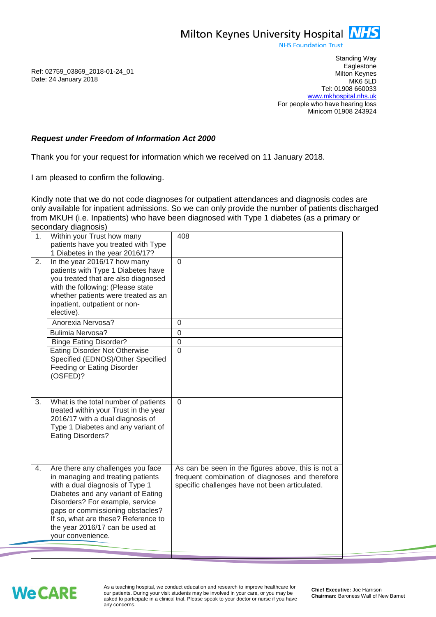Milton Keynes University Hospital **NHS** 

**NHS Foundation Trust** 

Ref: 02759\_03869\_2018-01-24\_01 Date: 24 January 2018

Standing Way **Eaglestone** Milton Keynes MK6 5LD Tel: 01908 660033 [www.mkhospital.nhs.uk](http://www.mkhospital.nhs.uk/) For people who have hearing loss Minicom 01908 243924

## *Request under Freedom of Information Act 2000*

Thank you for your request for information which we received on 11 January 2018.

I am pleased to confirm the following.

Kindly note that we do not code diagnoses for outpatient attendances and diagnosis codes are only available for inpatient admissions. So we can only provide the number of patients discharged from MKUH (i.e. Inpatients) who have been diagnosed with Type 1 diabetes (as a primary or secondary diagnosis)

|  | 1. | Within your Trust how many<br>patients have you treated with Type<br>1 Diabetes in the year 2016/17?                                                                                                                                                                                                                  | 408                                                                                                                                                     |
|--|----|-----------------------------------------------------------------------------------------------------------------------------------------------------------------------------------------------------------------------------------------------------------------------------------------------------------------------|---------------------------------------------------------------------------------------------------------------------------------------------------------|
|  | 2. | In the year 2016/17 how many<br>patients with Type 1 Diabetes have<br>you treated that are also diagnosed<br>with the following: (Please state<br>whether patients were treated as an<br>inpatient, outpatient or non-<br>elective).                                                                                  | $\overline{0}$                                                                                                                                          |
|  |    | Anorexia Nervosa?                                                                                                                                                                                                                                                                                                     | $\Omega$                                                                                                                                                |
|  |    | <b>Bulimia Nervosa?</b>                                                                                                                                                                                                                                                                                               | $\overline{0}$                                                                                                                                          |
|  |    | <b>Binge Eating Disorder?</b><br><b>Eating Disorder Not Otherwise</b>                                                                                                                                                                                                                                                 | $\overline{0}$<br>$\overline{0}$                                                                                                                        |
|  |    | Specified (EDNOS)/Other Specified<br>Feeding or Eating Disorder<br>(OSFED)?                                                                                                                                                                                                                                           |                                                                                                                                                         |
|  | 3. | What is the total number of patients<br>treated within your Trust in the year<br>2016/17 with a dual diagnosis of<br>Type 1 Diabetes and any variant of<br><b>Eating Disorders?</b>                                                                                                                                   | $\mathbf{0}$                                                                                                                                            |
|  | 4. | Are there any challenges you face<br>in managing and treating patients<br>with a dual diagnosis of Type 1<br>Diabetes and any variant of Eating<br>Disorders? For example, service<br>gaps or commissioning obstacles?<br>If so, what are these? Reference to<br>the year 2016/17 can be used at<br>your convenience. | As can be seen in the figures above, this is not a<br>frequent combination of diagnoses and therefore<br>specific challenges have not been articulated. |
|  |    |                                                                                                                                                                                                                                                                                                                       |                                                                                                                                                         |
|  |    |                                                                                                                                                                                                                                                                                                                       |                                                                                                                                                         |

## **We CARE**

As a teaching hospital, we conduct education and research to improve healthcare for our patients. During your visit students may be involved in your care, or you may be asked to participate in a clinical trial. Please speak to your doctor or nurse if you have any concerns.